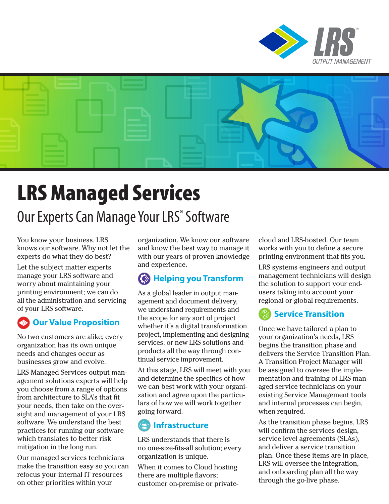



# LRS Managed Services

## Our Experts Can Manage Your LRS<sup>®</sup> Software

You know your business. LRS knows our software. Why not let the experts do what they do best?

Let the subject matter experts manage your LRS software and worry about maintaining your printing environment; we can do all the administration and servicing of your LRS software.

#### **Our Value Proposition**

No two customers are alike; every organization has its own unique needs and changes occur as businesses grow and evolve.

LRS Managed Services output management solutions experts will help you choose from a range of options from architecture to SLA's that fit your needs, then take on the oversight and management of your LRS software. We understand the best practices for running our software which translates to better risk mitigation in the long run.

Our managed services technicians make the transition easy so you can refocus your internal IT resources on other priorities within your

organization. We know our software and know the best way to manage it with our years of proven knowledge and experience.

#### **Helping you Transform**

As a global leader in output management and document delivery, we understand requirements and the scope for any sort of project whether it's a digital transformation project, implementing and designing services, or new LRS solutions and products all the way through continual service improvement.

At this stage, LRS will meet with you and determine the specifics of how we can best work with your organization and agree upon the particulars of how we will work together going forward.

### **Infrastructure**

LRS understands that there is no one-size-fits-all solution; every organization is unique.

When it comes to Cloud hosting there are multiple flavors; customer on-premise or privatecloud and LRS-hosted. Our team works with you to define a secure printing environment that fits you.

LRS systems engineers and output management technicians will design the solution to support your endusers taking into account your regional or global requirements.

#### **Service Transition**

Once we have tailored a plan to your organization's needs, LRS begins the transition phase and delivers the Service Transition Plan. A Transition Project Manager will be assigned to oversee the implementation and training of LRS managed service technicians on your existing Service Management tools and internal processes can begin, when required.

As the transition phase begins, LRS will confirm the services design, service level agreements (SLAs), and deliver a service transition plan. Once these items are in place, LRS will oversee the integration, and onboarding plan all the way through the go-live phase.